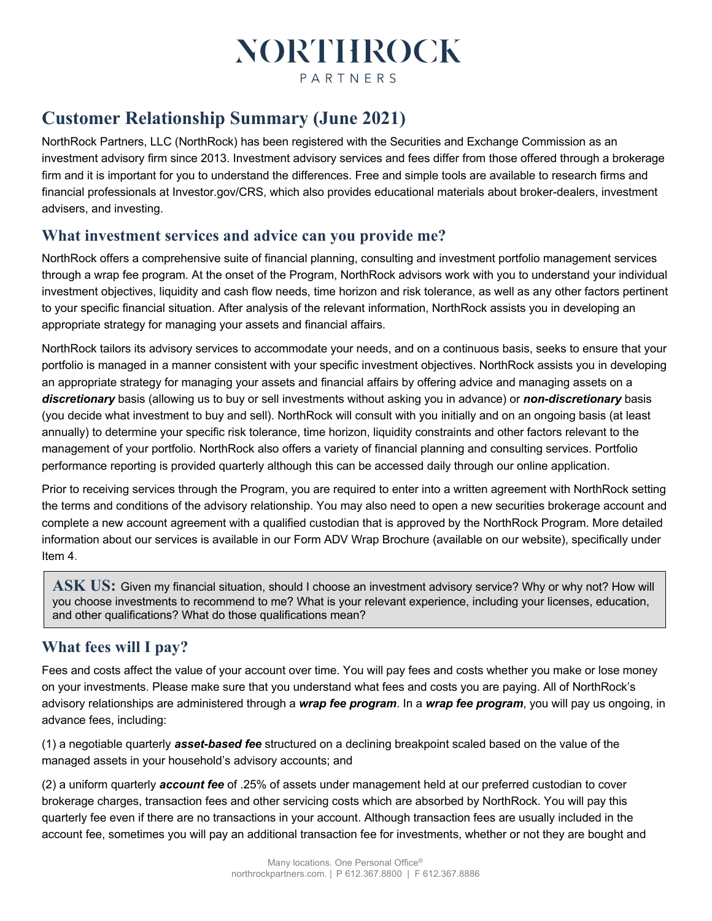# **NORTHROCK** PARTNERS

## **Customer Relationship Summary (June 2021)**

NorthRock Partners, LLC (NorthRock) has been registered with the Securities and Exchange Commission as an investment advisory firm since 2013. Investment advisory services and fees differ from those offered through a brokerage firm and it is important for you to understand the differences. Free and simple tools are available to research firms and financial professionals at Investor.gov/CRS, which also provides educational materials about broker-dealers, investment advisers, and investing.

### **What investment services and advice can you provide me?**

NorthRock offers a comprehensive suite of financial planning, consulting and investment portfolio management services through a wrap fee program. At the onset of the Program, NorthRock advisors work with you to understand your individual investment objectives, liquidity and cash flow needs, time horizon and risk tolerance, as well as any other factors pertinent to your specific financial situation. After analysis of the relevant information, NorthRock assists you in developing an appropriate strategy for managing your assets and financial affairs.

NorthRock tailors its advisory services to accommodate your needs, and on a continuous basis, seeks to ensure that your portfolio is managed in a manner consistent with your specific investment objectives. NorthRock assists you in developing an appropriate strategy for managing your assets and financial affairs by offering advice and managing assets on a *discretionary* basis (allowing us to buy or sell investments without asking you in advance) or *non-discretionary* basis (you decide what investment to buy and sell). NorthRock will consult with you initially and on an ongoing basis (at least annually) to determine your specific risk tolerance, time horizon, liquidity constraints and other factors relevant to the management of your portfolio. NorthRock also offers a variety of financial planning and consulting services. Portfolio performance reporting is provided quarterly although this can be accessed daily through our online application.

Prior to receiving services through the Program, you are required to enter into a written agreement with NorthRock setting the terms and conditions of the advisory relationship. You may also need to open a new securities brokerage account and complete a new account agreement with a qualified custodian that is approved by the NorthRock Program. More detailed information about our services is available in our Form ADV Wrap Brochure (available on our website), specifically under Item 4.

**ASK US:** Given my financial situation, should I choose an investment advisory service? Why or why not? How will you choose investments to recommend to me? What is your relevant experience, including your licenses, education, and other qualifications? What do those qualifications mean?

### **What fees will I pay?**

Fees and costs affect the value of your account over time. You will pay fees and costs whether you make or lose money on your investments. Please make sure that you understand what fees and costs you are paying. All of NorthRock's advisory relationships are administered through a *wrap fee program*. In a *wrap fee program*, you will pay us ongoing, in advance fees, including:

(1) a negotiable quarterly *asset-based fee* structured on a declining breakpoint scaled based on the value of the managed assets in your household's advisory accounts; and

(2) a uniform quarterly *account fee* of .25% of assets under management held at our preferred custodian to cover brokerage charges, transaction fees and other servicing costs which are absorbed by NorthRock. You will pay this quarterly fee even if there are no transactions in your account. Although transaction fees are usually included in the account fee, sometimes you will pay an additional transaction fee for investments, whether or not they are bought and